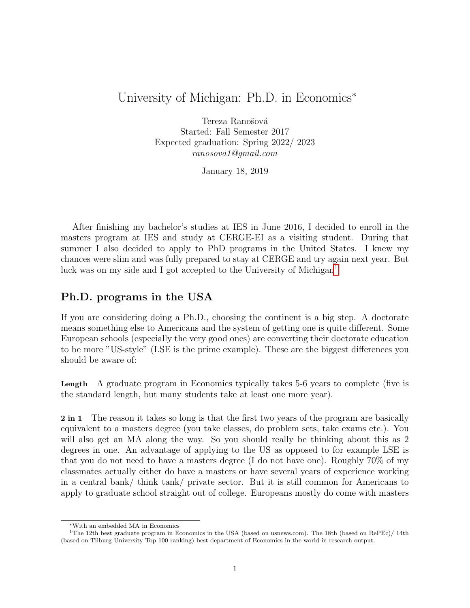## University of Michigan: Ph.D. in Economics<sup>∗</sup>

Tereza Ranošová Started: Fall Semester 2017 Expected graduation: Spring 2022/ 2023 ranosova1@gmail.com

January 18, 2019

After finishing my bachelor's studies at IES in June 2016, I decided to enroll in the masters program at IES and study at CERGE-EI as a visiting student. During that summer I also decided to apply to PhD programs in the United States. I knew my chances were slim and was fully prepared to stay at CERGE and try again next year. But luck was on my side and I got accepted to the University of Michigan<sup>[1](#page-0-0)</sup>

#### Ph.D. programs in the USA

If you are considering doing a Ph.D., choosing the continent is a big step. A doctorate means something else to Americans and the system of getting one is quite different. Some European schools (especially the very good ones) are converting their doctorate education to be more "US-style" (LSE is the prime example). These are the biggest differences you should be aware of:

Length A graduate program in Economics typically takes 5-6 years to complete (five is the standard length, but many students take at least one more year).

2 in 1 The reason it takes so long is that the first two years of the program are basically equivalent to a masters degree (you take classes, do problem sets, take exams etc.). You will also get an MA along the way. So you should really be thinking about this as 2 degrees in one. An advantage of applying to the US as opposed to for example LSE is that you do not need to have a masters degree (I do not have one). Roughly 70% of my classmates actually either do have a masters or have several years of experience working in a central bank/ think tank/ private sector. But it is still common for Americans to apply to graduate school straight out of college. Europeans mostly do come with masters

<span id="page-0-0"></span><sup>∗</sup>With an embedded MA in Economics

<sup>&</sup>lt;sup>1</sup>The 12th best graduate program in Economics in the USA (based on usnews.com). The 18th (based on RePEc)/ 14th (based on Tilburg University Top 100 ranking) best department of Economics in the world in research output.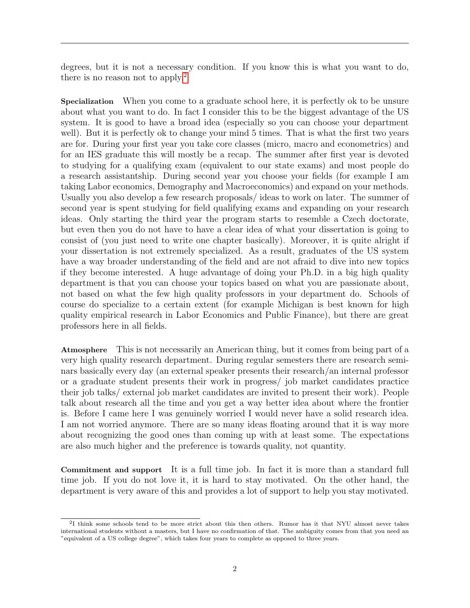degrees, but it is not a necessary condition. If you know this is what you want to do, there is no reason not to apply.<sup>[2](#page-1-0)</sup>

Specialization When you come to a graduate school here, it is perfectly ok to be unsure about what you want to do. In fact I consider this to be the biggest advantage of the US system. It is good to have a broad idea (especially so you can choose your department well). But it is perfectly ok to change your mind 5 times. That is what the first two years are for. During your first year you take core classes (micro, macro and econometrics) and for an IES graduate this will mostly be a recap. The summer after first year is devoted to studying for a qualifying exam (equivalent to our state exams) and most people do a research assistantship. During second year you choose your fields (for example I am taking Labor economics, Demography and Macroeconomics) and expand on your methods. Usually you also develop a few research proposals/ ideas to work on later. The summer of second year is spent studying for field qualifying exams and expanding on your research ideas. Only starting the third year the program starts to resemble a Czech doctorate, but even then you do not have to have a clear idea of what your dissertation is going to consist of (you just need to write one chapter basically). Moreover, it is quite alright if your dissertation is not extremely specialized. As a result, graduates of the US system have a way broader understanding of the field and are not afraid to dive into new topics if they become interested. A huge advantage of doing your Ph.D. in a big high quality department is that you can choose your topics based on what you are passionate about, not based on what the few high quality professors in your department do. Schools of course do specialize to a certain extent (for example Michigan is best known for high quality empirical research in Labor Economics and Public Finance), but there are great professors here in all fields.

Atmosphere This is not necessarily an American thing, but it comes from being part of a very high quality research department. During regular semesters there are research seminars basically every day (an external speaker presents their research/an internal professor or a graduate student presents their work in progress/ job market candidates practice their job talks/ external job market candidates are invited to present their work). People talk about research all the time and you get a way better idea about where the frontier is. Before I came here I was genuinely worried I would never have a solid research idea. I am not worried anymore. There are so many ideas floating around that it is way more about recognizing the good ones than coming up with at least some. The expectations are also much higher and the preference is towards quality, not quantity.

Commitment and support It is a full time job. In fact it is more than a standard full time job. If you do not love it, it is hard to stay motivated. On the other hand, the department is very aware of this and provides a lot of support to help you stay motivated.

<span id="page-1-0"></span><sup>&</sup>lt;sup>2</sup>I think some schools tend to be more strict about this then others. Rumor has it that NYU almost never takes international students without a masters, but I have no confirmation of that. The ambiguity comes from that you need an "equivalent of a US college degree", which takes four years to complete as opposed to three years.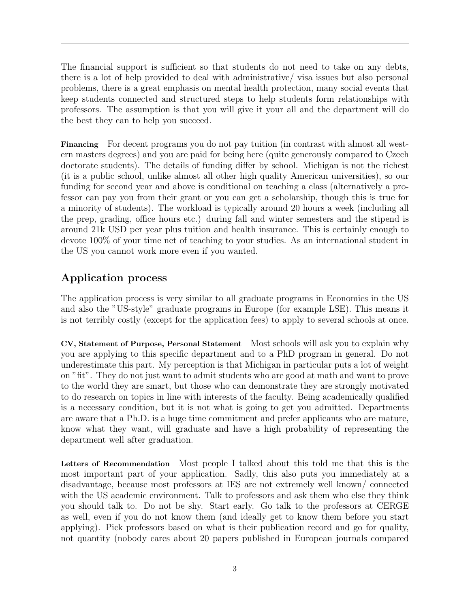The financial support is sufficient so that students do not need to take on any debts, there is a lot of help provided to deal with administrative/ visa issues but also personal problems, there is a great emphasis on mental health protection, many social events that keep students connected and structured steps to help students form relationships with professors. The assumption is that you will give it your all and the department will do the best they can to help you succeed.

Financing For decent programs you do not pay tuition (in contrast with almost all western masters degrees) and you are paid for being here (quite generously compared to Czech doctorate students). The details of funding differ by school. Michigan is not the richest (it is a public school, unlike almost all other high quality American universities), so our funding for second year and above is conditional on teaching a class (alternatively a professor can pay you from their grant or you can get a scholarship, though this is true for a minority of students). The workload is typically around 20 hours a week (including all the prep, grading, office hours etc.) during fall and winter semesters and the stipend is around 21k USD per year plus tuition and health insurance. This is certainly enough to devote 100% of your time net of teaching to your studies. As an international student in the US you cannot work more even if you wanted.

# Application process

The application process is very similar to all graduate programs in Economics in the US and also the "US-style" graduate programs in Europe (for example LSE). This means it is not terribly costly (except for the application fees) to apply to several schools at once.

CV, Statement of Purpose, Personal Statement Most schools will ask you to explain why you are applying to this specific department and to a PhD program in general. Do not underestimate this part. My perception is that Michigan in particular puts a lot of weight on "fit". They do not just want to admit students who are good at math and want to prove to the world they are smart, but those who can demonstrate they are strongly motivated to do research on topics in line with interests of the faculty. Being academically qualified is a necessary condition, but it is not what is going to get you admitted. Departments are aware that a Ph.D. is a huge time commitment and prefer applicants who are mature, know what they want, will graduate and have a high probability of representing the department well after graduation.

Letters of Recommendation Most people I talked about this told me that this is the most important part of your application. Sadly, this also puts you immediately at a disadvantage, because most professors at IES are not extremely well known/ connected with the US academic environment. Talk to professors and ask them who else they think you should talk to. Do not be shy. Start early. Go talk to the professors at CERGE as well, even if you do not know them (and ideally get to know them before you start applying). Pick professors based on what is their publication record and go for quality, not quantity (nobody cares about 20 papers published in European journals compared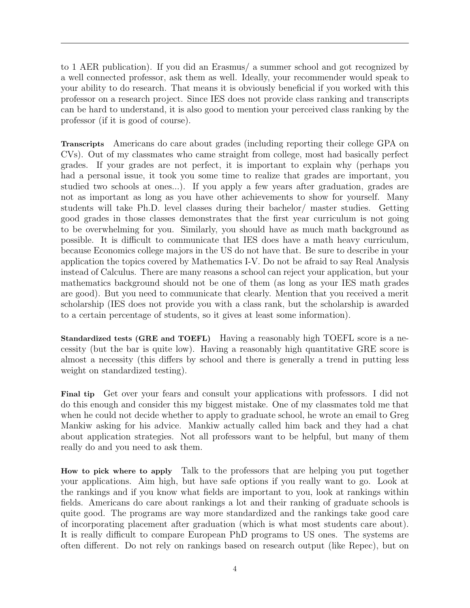to 1 AER publication). If you did an Erasmus/ a summer school and got recognized by a well connected professor, ask them as well. Ideally, your recommender would speak to your ability to do research. That means it is obviously beneficial if you worked with this professor on a research project. Since IES does not provide class ranking and transcripts can be hard to understand, it is also good to mention your perceived class ranking by the professor (if it is good of course).

Transcripts Americans do care about grades (including reporting their college GPA on CVs). Out of my classmates who came straight from college, most had basically perfect grades. If your grades are not perfect, it is important to explain why (perhaps you had a personal issue, it took you some time to realize that grades are important, you studied two schools at ones...). If you apply a few years after graduation, grades are not as important as long as you have other achievements to show for yourself. Many students will take Ph.D. level classes during their bachelor/ master studies. Getting good grades in those classes demonstrates that the first year curriculum is not going to be overwhelming for you. Similarly, you should have as much math background as possible. It is difficult to communicate that IES does have a math heavy curriculum, because Economics college majors in the US do not have that. Be sure to describe in your application the topics covered by Mathematics I-V. Do not be afraid to say Real Analysis instead of Calculus. There are many reasons a school can reject your application, but your mathematics background should not be one of them (as long as your IES math grades are good). But you need to communicate that clearly. Mention that you received a merit scholarship (IES does not provide you with a class rank, but the scholarship is awarded to a certain percentage of students, so it gives at least some information).

Standardized tests (GRE and TOEFL) Having a reasonably high TOEFL score is a necessity (but the bar is quite low). Having a reasonably high quantitative GRE score is almost a necessity (this differs by school and there is generally a trend in putting less weight on standardized testing).

Final tip Get over your fears and consult your applications with professors. I did not do this enough and consider this my biggest mistake. One of my classmates told me that when he could not decide whether to apply to graduate school, he wrote an email to Greg Mankiw asking for his advice. Mankiw actually called him back and they had a chat about application strategies. Not all professors want to be helpful, but many of them really do and you need to ask them.

How to pick where to apply Talk to the professors that are helping you put together your applications. Aim high, but have safe options if you really want to go. Look at the rankings and if you know what fields are important to you, look at rankings within fields. Americans do care about rankings a lot and their ranking of graduate schools is quite good. The programs are way more standardized and the rankings take good care of incorporating placement after graduation (which is what most students care about). It is really difficult to compare European PhD programs to US ones. The systems are often different. Do not rely on rankings based on research output (like Repec), but on